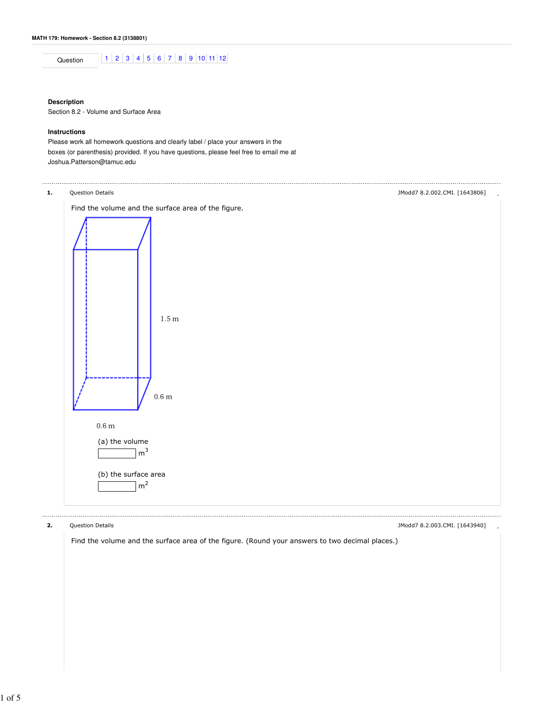

# **Description**

Section 8.2 - Volume and Surface Area

# **Instructions**

Please work all homework questions and clearly label / place your answers in the boxes (or parenthesis) provided. If you have questions, please feel free to email me at Joshua.Patterson@tamuc.edu



2. Question Details - JModd7 8.2.003.CMI. [1643940]

Find the volume and the surface area of the figure. (Round your answers to two decimal places.)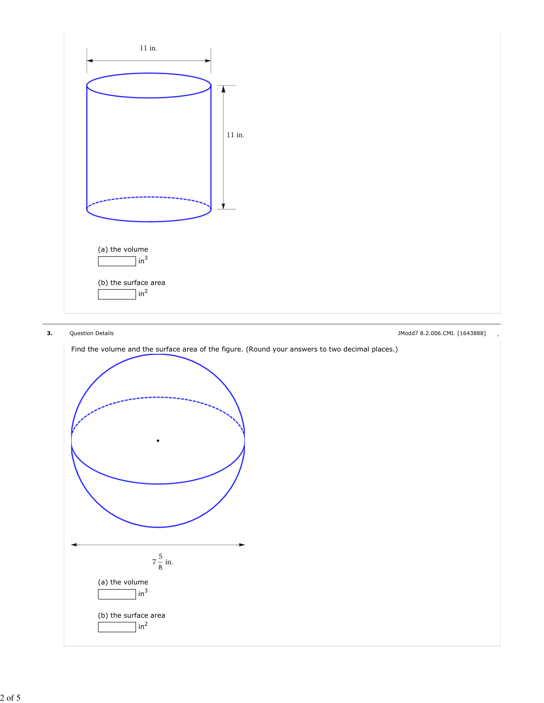

**3.** Question Details **All and Struck and Struck and Struck and Struck and Struck and Struck and Struck and Struck and Struck and Struck and Struck and Struck and Struck and Struck and Struck and Struck and Struck and Stru** 



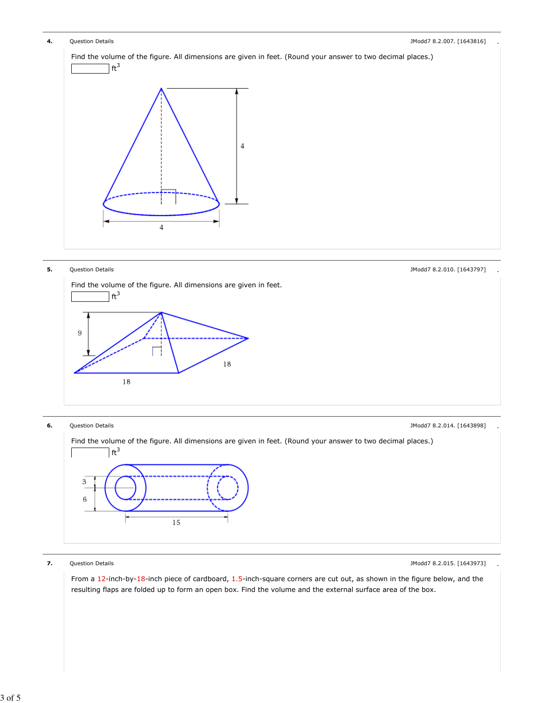



**7.** Question Details **All and Struck and Struck and Struck and Struck and Struck and Struck and Struck and Struck and Struck and Struck and Struck and Struck and Struck and Struck and Struck and Struck and Struck and Stru** 

From a 12-inch-by-18-inch piece of cardboard, 1.5-inch-square corners are cut out, as shown in the figure below, and the resulting flaps are folded up to form an open box. Find the volume and the external surface area of the box.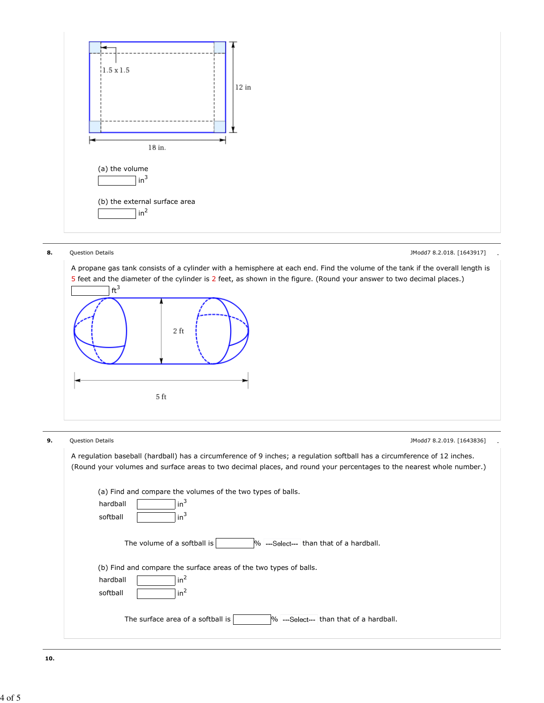

**8.** Question Details **- All and Struck and Struck and Struck and Struck and Struck and Struck and Struck and Struck and Struck and Struck and Struck and Struck and Struck and Struck and Struck and Struck and Struck and St** 

A propane gas tank consists of a cylinder with a hemisphere at each end. Find the volume of the tank if the overall length is 5 feet and the diameter of the cylinder is 2 feet, as shown in the figure. (Round your answer to two decimal places.)



**9.** Question Details **- Example 2.2.019. [1643836]** . [1643836] .

| A regulation baseball (hardball) has a circumference of 9 inches; a regulation softball has a circumference of 12 inches.<br>(Round your volumes and surface areas to two decimal places, and round your percentages to the nearest whole number.) |
|----------------------------------------------------------------------------------------------------------------------------------------------------------------------------------------------------------------------------------------------------|
| (a) Find and compare the volumes of the two types of balls.<br>$in^3$<br>hardball<br>$in^3$<br>softball                                                                                                                                            |
| The volume of a softball is<br>% ---Select--- than that of a hardball.                                                                                                                                                                             |
| (b) Find and compare the surface areas of the two types of balls.<br>in <sup>2</sup><br>hardball<br>in <sup>2</sup><br>softball                                                                                                                    |
| The surface area of a softball is<br>Ⅰ% ---Select--- than that of a hardball.                                                                                                                                                                      |